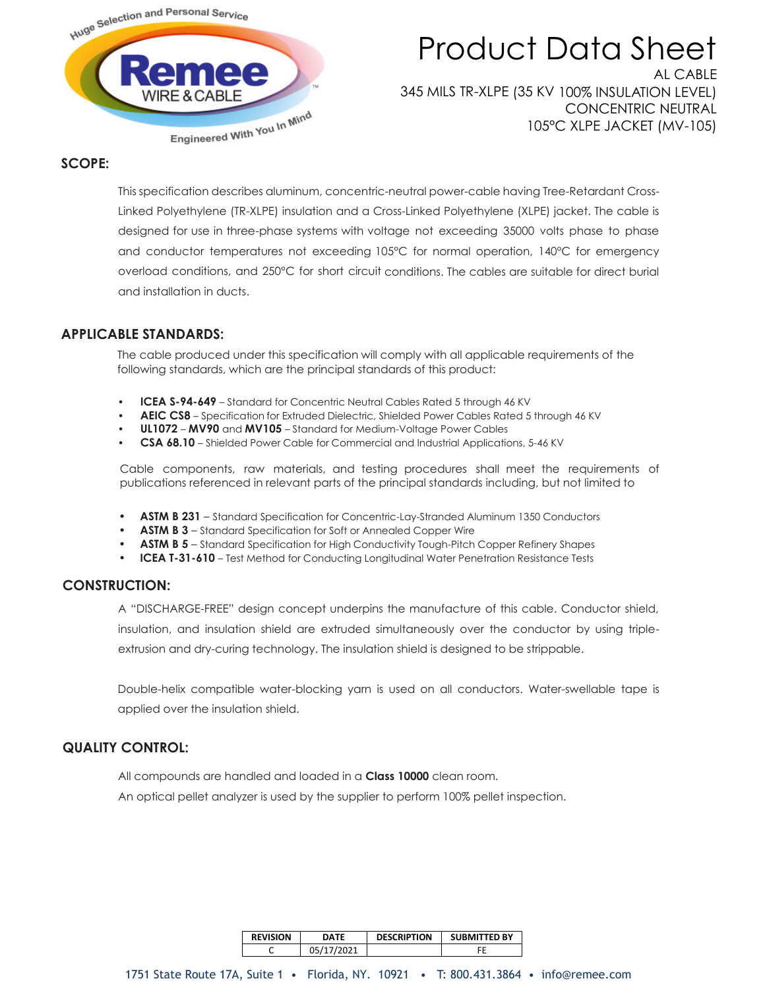

# Product Data Sheet AL CABLE

345 MILS TR-XLPE (35 KV 100% INSULATION LEVEL) CONCENTRIC NEUTRAL 105°C XLPE JACKET (MV-105)

## **SCOPE:**

This specification describes aluminum, concentric-neutral power-cable having Tree-Retardant Cross-Linked Polyethylene (TR-XLPE) insulation and a Cross-Linked Polyethylene (XLPE) jacket. The cable is designed for use in three-phase systems with voltage not exceeding 35000 volts phase to phase and conductor temperatures not exceeding 105°C for normal operation, 140°C for emergency overload conditions, and 250°C for short circuit conditions. The cables are suitable for direct burial and installation in ducts.

### **APPLICABLE STANDARDS:**

The cable produced under this specification will comply with all applicable requirements of the following standards, which are the principal standards of this product:

- **ICEA S-94-649** Standard for Concentric Neutral Cables Rated 5 through 46 KV
- **AEIC CS8** Specification for Extruded Dielectric, Shielded Power Cables Rated 5 through 46 KV
- **UL1072 MV90** and **MV105**  Standard for Medium-Voltage Power Cables
- **CSA 68.10**  Shielded Power Cable for Commercial and Industrial Applications, 5-46 KV

Cable components, raw materials, and testing procedures shall meet the requirements of publications referenced in relevant parts of the principal standards including, but not limited to

- **• ASTM B 231**  Standard Specification for Concentric-Lay-Stranded Aluminum 1350 Conductors
- **• ASTM B 3**  Standard Specification for Soft or Annealed Copper Wire
- **• ASTM B 5**  Standard Specification for High Conductivity Tough-Pitch Copper Refinery Shapes
- **• ICEA T-31-610**  Test Method for Conducting Longitudinal Water Penetration Resistance Tests

### **CONSTRUCTION:**

A "DISCHARGE-FREE" design concept underpins the manufacture of this cable. Conductor shield, insulation, and insulation shield are extruded simultaneously over the conductor by using tripleextrusion and dry-curing technology. The insulation shield is designed to be strippable.

Double-helix compatible water-blocking yarn is used on all conductors. Water-swellable tape is applied over the insulation shield.

# **QUALITY CONTROL:**

All compounds are handled and loaded in a **Class 10000** clean room.

An optical pellet analyzer is used by the supplier to perform 100% pellet inspection.

| <b>REVISION</b> | <b>DATF</b> | <b>DESCRIPTION</b> | <b>SUBMITTED BY</b> |  |  |
|-----------------|-------------|--------------------|---------------------|--|--|
|                 | 05/17/2021  |                    |                     |  |  |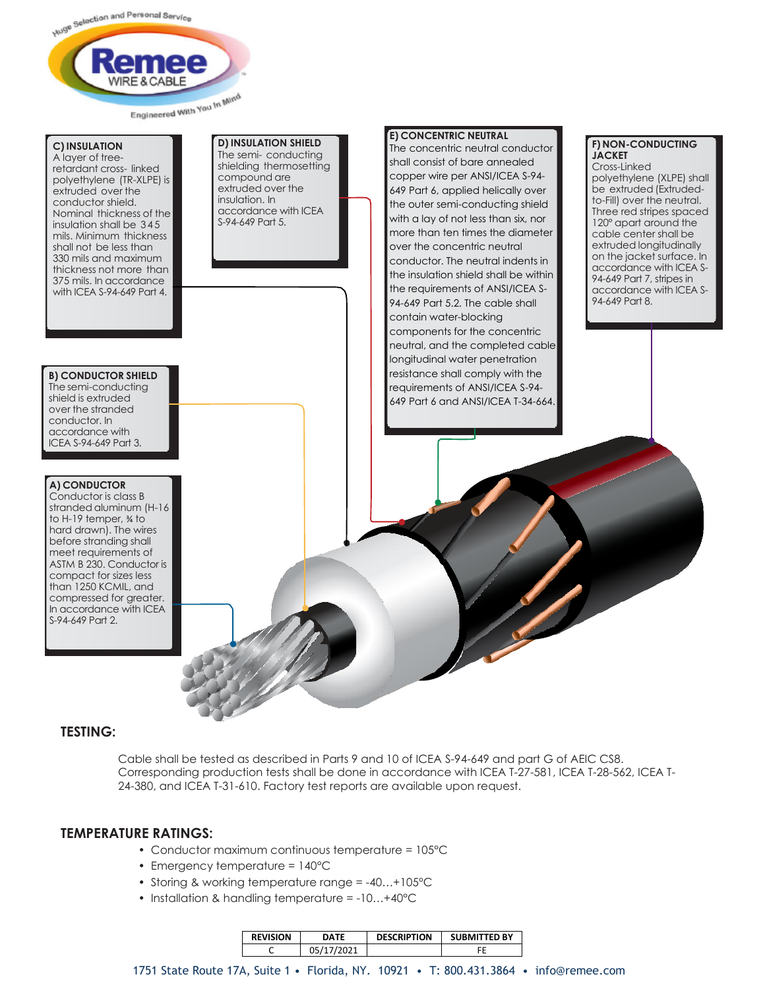

### **C) INSULATION**

A layer of treeretardant cross- linked polyethylene (TR-XLPE) is extruded over the conductor shield. Nominal thickness of the insulation shall be 345 mils. Minimum thickness shall not be less than 330 mils and maximum thickness not more than 375 mils. In accordance with ICEA S-94-649 Part 4.

#### **D) INSULATION SHIELD** The semi- conducting shielding thermosetting compound are extruded over the insulation. In accordance with ICEA S-94-649 Part 5.

#### **B) CONDUCTOR SHIELD** The semi-conducting

shield is extruded over the stranded conductor. In accordance with ICEA S-94-649 Part 3.

### **A) CONDUCTOR**

Conductor is class B stranded aluminum (H-16 to H-19 temper, ¾ to hard drawn). The wires before stranding shall meet requirements of ASTM B 230. Conductor is compact for sizes less than 1250 KCMIL, and compressed for greater. In accordance with ICEA S-94-649 Part 2.

#### **E) CONCENTRIC NEUTRAL**

The concentric neutral conductor shall consist of bare annealed copper wire per ANSI/ICEA S-94- 649 Part 6, applied helically over the outer semi-conducting shield with a lay of not less than six, nor more than ten times the diameter over the concentric neutral conductor. The neutral indents in the insulation shield shall be within the requirements of ANSI/ICEA S-94-649 Part 5.2. The cable shall contain water-blocking components for the concentric neutral, and the completed cable longitudinal water penetration resistance shall comply with the requirements of ANSI/ICEA S-94- 649 Part 6 and ANSI/ICEA T-34-664.

## **F) NON-CONDUCTING JACKET**

Cross-Linked polyethylene (XLPE) shall be extruded (Extrudedto-Fill) over the neutral. Three red stripes spaced 120° apart around the cable center shall be extruded longitudinally on the jacket surface. In accordance with ICEA S-94-649 Part 7, stripes in accordance with ICEA S-94-649 Part 8.

### **TESTING:**

Cable shall be tested as described in Parts 9 and 10 of ICEA S-94-649 and part G of AEIC CS8. Corresponding production tests shall be done in accordance with ICEA T-27-581, ICEA T-28-562, ICEA T-24-380, and ICEA T-31-610. Factory test reports are available upon request.

### **TEMPERATURE RATINGS:**

- Conductor maximum continuous temperature = 105°C
- Emergency temperature = 140°C
- Storing & working temperature range = -40…+105°C
- Installation & handling temperature = -10...+40°C

| <b>REVISION</b> | DATF       | <b>DESCRIPTION</b> | <b>SUBMITTED BY</b> |  |  |
|-----------------|------------|--------------------|---------------------|--|--|
|                 | 05/17/2021 |                    |                     |  |  |